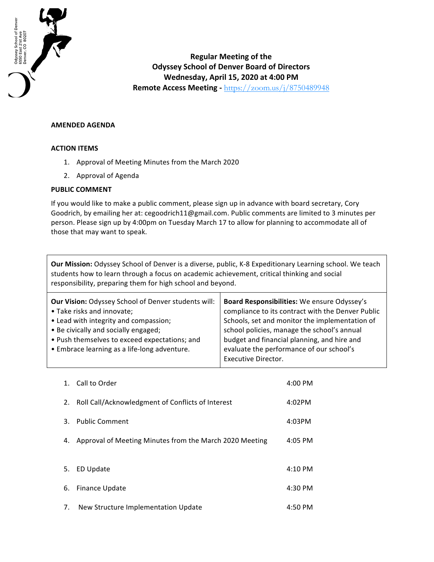

## **Regular Meeting of the Odyssey School of Denver Board of Directors Wednesday, April 15, 2020 at 4:00 PM Remote Access Meeting - https://zoom.us/j/8750489948**

## **AMENDED AGENDA**

## **ACTION ITEMS**

- 1. Approval of Meeting Minutes from the March 2020
- 2. Approval of Agenda

## **PUBLIC COMMENT**

If you would like to make a public comment, please sign up in advance with board secretary, Cory Goodrich, by emailing her at: cegoodrich11@gmail.com. Public comments are limited to 3 minutes per person. Please sign up by 4:00pm on Tuesday March 17 to allow for planning to accommodate all of those that may want to speak.

**Our Mission:** Odyssey School of Denver is a diverse, public, K-8 Expeditionary Learning school. We teach students how to learn through a focus on academic achievement, critical thinking and social responsibility, preparing them for high school and beyond.

| Our Vision: Odyssey School of Denver students will: | Board Responsibilities: We ensure Odyssey's       |
|-----------------------------------------------------|---------------------------------------------------|
| • Take risks and innovate;                          | compliance to its contract with the Denver Public |
| • Lead with integrity and compassion;               | Schools, set and monitor the implementation of    |
| • Be civically and socially engaged;                | school policies, manage the school's annual       |
| • Push themselves to exceed expectations; and       | budget and financial planning, and hire and       |
| • Embrace learning as a life-long adventure.        | evaluate the performance of our school's          |
|                                                     | Executive Director.                               |

| $1_{-}$ | Call to Order                                           | 4:00 PM   |
|---------|---------------------------------------------------------|-----------|
| 2.      | Roll Call/Acknowledgment of Conflicts of Interest       | 4:02PM    |
| 3.      | <b>Public Comment</b>                                   | 4:03PM    |
| 4.      | Approval of Meeting Minutes from the March 2020 Meeting | $4:05$ PM |
| 5.      | ED Update                                               | $4:10$ PM |
|         |                                                         |           |
| 6.      | <b>Finance Update</b>                                   | $4:30$ PM |
| 7.      | New Structure Implementation Update                     | 4:50 PM   |